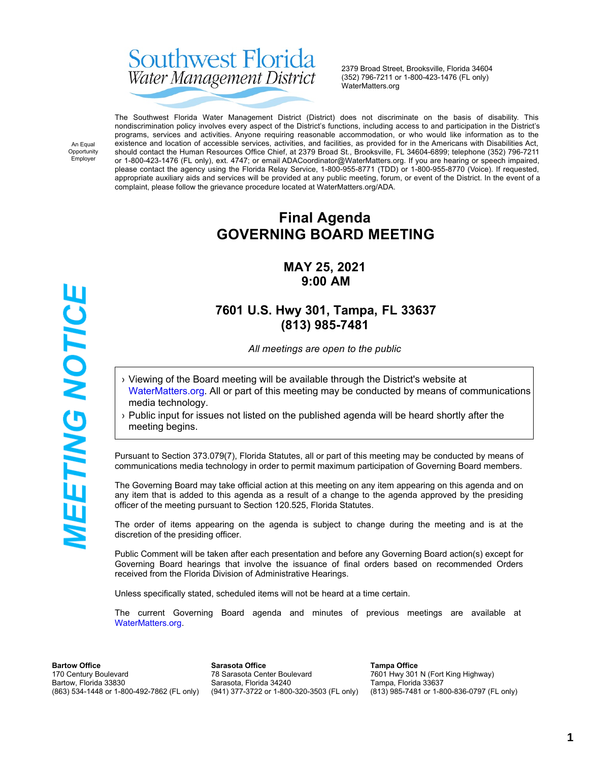# Southwest Florida Water Management District

2379 Broad Street, Brooksville, Florida 34604 (352) 796-7211 or 1-800-423-1476 (FL only) WaterMatters.org

An Equal Opportunity Employer

**MEETING NOTICE** 

The Southwest Florida Water Management District (District) does not discriminate on the basis of disability. This nondiscrimination policy involves every aspect of the District's functions, including access to and participation in the District's programs, services and activities. Anyone requiring reasonable accommodation, or who would like information as to the existence and location of accessible services, activities, and facilities, as provided for in the Americans with Disabilities Act, should contact the Human Resources Office Chief, at 2379 Broad St., Brooksville, FL 34604-6899; telephone (352) 796-7211 or 1-800-423-1476 (FL only), ext. 4747; or email ADACoordinator@WaterMatters.org. If you are hearing or speech impaired, please contact the agency using the Florida Relay Service, 1-800-955-8771 (TDD) or 1-800-955-8770 (Voice). If requested, appropriate auxiliary aids and services will be provided at any public meeting, forum, or event of the District. In the event of a complaint, please follow the grievance procedure located at WaterMatters.org/ADA.

# **Final Agenda GOVERNING BOARD MEETING**

### **MAY 25, 2021 9:00 AM**

### **7601 U.S. Hwy 301, Tampa, FL 33637 (813) 985-7481**

*All meetings are open to the public*

- › Viewing of the Board meeting will be available through the District's website at [WaterMatters.org](https://www.swfwmd.state.fl.us/). All or part of this meeting may be conducted by means of communications media technology.
- › Public input for issues not listed on the published agenda will be heard shortly after the meeting begins.

Pursuant to Section 373.079(7), Florida Statutes, all or part of this meeting may be conducted by means of communications media technology in order to permit maximum participation of Governing Board members.

The Governing Board may take official action at this meeting on any item appearing on this agenda and on any item that is added to this agenda as a result of a change to the agenda approved by the presiding officer of the meeting pursuant to Section 120.525, Florida Statutes.

The order of items appearing on the agenda is subject to change during the meeting and is at the discretion of the presiding officer.

Public Comment will be taken after each presentation and before any Governing Board action(s) except for Governing Board hearings that involve the issuance of final orders based on recommended Orders received from the Florida Division of Administrative Hearings.

Unless specifically stated, scheduled items will not be heard at a time certain.

The current Governing Board agenda and minutes of previous meetings are available at [WaterMatters.org](https://www.watermatters.org).

**Bartow Office** 170 Century Boulevard Bartow, Florida 33830 (863) 534-1448 or 1-800-492-7862 (FL only)

**Sarasota Office** 78 Sarasota Center Boulevard Sarasota, Florida 34240 (941) 377-3722 or 1-800-320-3503 (FL only)

**Tampa Office** 7601 Hwy 301 N (Fort King Highway) Tampa, Florida 33637 (813) 985-7481 or 1-800-836-0797 (FL only)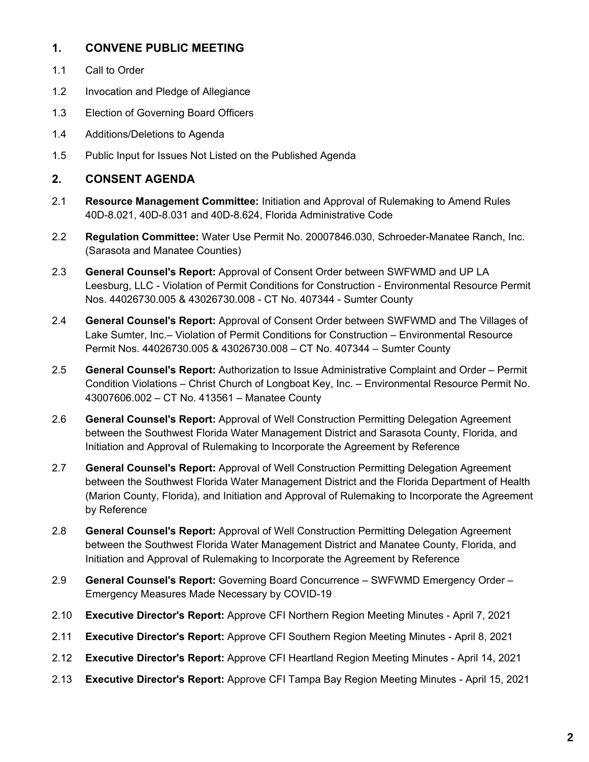### **1. CONVENE PUBLIC MEETING**

- 1.1 Call to Order
- 1.2 Invocation and Pledge of Allegiance
- 1.3 Election of Governing Board Officers
- 1.4 Additions/Deletions to Agenda
- 1.5 Public Input for Issues Not Listed on the Published Agenda

#### **2. CONSENT AGENDA**

- 2.1 **Resource Management Committee:** Initiation and Approval of Rulemaking to Amend Rules 40D-8.021, 40D-8.031 and 40D-8.624, Florida Administrative Code
- 2.2 **Regulation Committee:** Water Use Permit No. 20007846.030, Schroeder-Manatee Ranch, Inc. (Sarasota and Manatee Counties)
- 2.3 **General Counsel's Report:** Approval of Consent Order between SWFWMD and UP LA Leesburg, LLC - Violation of Permit Conditions for Construction - Environmental Resource Permit Nos. 44026730.005 & 43026730.008 - CT No. 407344 - Sumter County
- 2.4 **General Counsel's Report:** Approval of Consent Order between SWFWMD and The Villages of Lake Sumter, Inc.– Violation of Permit Conditions for Construction – Environmental Resource Permit Nos. 44026730.005 & 43026730.008 – CT No. 407344 – Sumter County
- 2.5 **General Counsel's Report:** Authorization to Issue Administrative Complaint and Order Permit Condition Violations – Christ Church of Longboat Key, Inc. – Environmental Resource Permit No. 43007606.002 – CT No. 413561 – Manatee County
- 2.6 **General Counsel's Report:** Approval of Well Construction Permitting Delegation Agreement between the Southwest Florida Water Management District and Sarasota County, Florida, and Initiation and Approval of Rulemaking to Incorporate the Agreement by Reference
- 2.7 **General Counsel's Report:** Approval of Well Construction Permitting Delegation Agreement between the Southwest Florida Water Management District and the Florida Department of Health (Marion County, Florida), and Initiation and Approval of Rulemaking to Incorporate the Agreement by Reference
- 2.8 **General Counsel's Report:** Approval of Well Construction Permitting Delegation Agreement between the Southwest Florida Water Management District and Manatee County, Florida, and Initiation and Approval of Rulemaking to Incorporate the Agreement by Reference
- 2.9 **General Counsel's Report:** Governing Board Concurrence SWFWMD Emergency Order Emergency Measures Made Necessary by COVID-19
- 2.10 **Executive Director's Report:** Approve CFI Northern Region Meeting Minutes April 7, 2021
- 2.11 **Executive Director's Report:** Approve CFI Southern Region Meeting Minutes April 8, 2021
- 2.12 **Executive Director's Report:** Approve CFI Heartland Region Meeting Minutes April 14, 2021
- 2.13 **Executive Director's Report:** Approve CFI Tampa Bay Region Meeting Minutes April 15, 2021